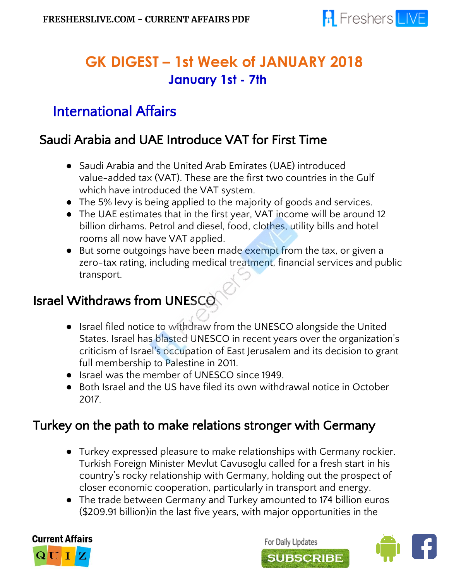

# **GK DIGEST – 1st Week of JANUARY 2018 January 1st - 7th**

# International Affairs

### Saudi Arabia and UAE Introduce VAT for First Time

- Saudi Arabia and the United Arab Emirates (UAE) introduced value-added tax (VAT). These are the first two countries in the Gulf which have introduced the VAT system.
- The 5% levy is being applied to the majority of goods and services.
- The UAE estimates that in the first year, VAT income will be around 12 billion dirhams. Petrol and diesel, food, clothes, utility bills and hotel rooms all now have VAT applied.
- But some outgoings have been made exempt from the tax, or given a zero-tax rating, including medical treatment, financial services and public transport.

# Israel Withdraws from UNESCO

- **●** Israel filed notice to withdraw from the UNESCO alongside the United States. Israel has blasted UNESCO in recent years over the organization's criticism of Israel's occupation of East Jerusalem and its decision to grant full membership to Palestine in 2011.
- Israel was the member of UNESCO since 1949.
- Both Israel and the US have filed its own withdrawal notice in October 2017.

## Turkey on the path to make relations stronger with Germany

- Turkey expressed pleasure to make relationships with Germany rockier. Turkish Foreign Minister Mevlut Cavusoglu called for a fresh start in his country's rocky relationship with Germany, holding out the prospect of closer economic cooperation, particularly in transport and energy.
- The trade between Germany and Turkey amounted to 174 billion euros (\$209.91 billion)in the last five years, with major opportunities in the



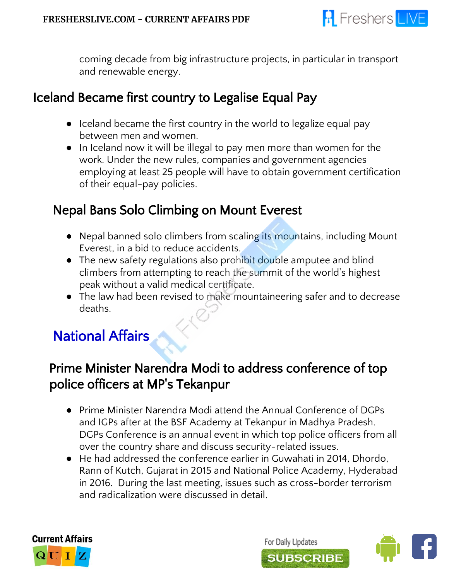

coming decade from big infrastructure projects, in particular in transport and renewable energy.

### Iceland Became first country to Legalise Equal Pay

- Iceland became the first country in the world to legalize equal pay between men and women.
- In Iceland now it will be illegal to pay men more than women for the work. Under the new rules, companies and government agencies employing at least 25 people will have to obtain government certification of their equal-pay policies.

## Nepal Bans Solo Climbing on Mount Everest

- Nepal banned solo climbers from scaling its mountains, including Mount Everest, in a bid to reduce accidents.
- The new safety regulations also prohibit double amputee and blind climbers from attempting to reach the summit of the world's highest peak without a valid medical certificate.
- The law had been revised to make mountaineering safer and to decrease deaths.

# National Affairs

## Prime Minister Narendra Modi to address conference of top police officers at MP's Tekanpur

- Prime Minister Narendra Modi attend the Annual Conference of DGPs and IGPs after at the BSF Academy at Tekanpur in Madhya Pradesh. DGPs Conference is an annual event in which top police officers from all over the country share and discuss security-related issues.
- He had addressed the conference earlier in Guwahati in 2014, Dhordo, Rann of Kutch, Gujarat in 2015 and National Police Academy, Hyderabad in 2016. During the last meeting, issues such as cross-border terrorism and radicalization were discussed in detail.



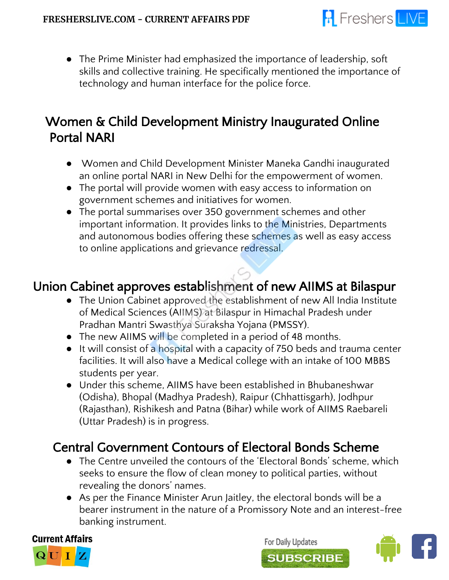

● The Prime Minister had emphasized the importance of leadership, soft skills and collective training. He specifically mentioned the importance of technology and human interface for the police force.

## Women & Child Development Ministry Inaugurated Online Portal NARI

- Women and Child Development Minister Maneka Gandhi inaugurated an online portal NARI in New Delhi for the empowerment of women.
- The portal will provide women with easy access to information on government schemes and initiatives for women.
- The portal summarises over 350 government schemes and other important information. It provides links to the Ministries, Departments and autonomous bodies offering these schemes as well as easy access to online applications and grievance redressal.

## Union Cabinet approves establishment of new AIIMS at Bilaspur

- The Union Cabinet approved the establishment of new All India Institute of Medical Sciences (AIIMS) at Bilaspur in Himachal Pradesh under Pradhan Mantri Swasthya Suraksha Yojana (PMSSY).
- The new AIIMS will be completed in a period of 48 months.
- It will consist of a hospital with a capacity of 750 beds and trauma center facilities. It will also have a Medical college with an intake of 100 MBBS students per year.
- Under this scheme, AIIMS have been established in Bhubaneshwar (Odisha), Bhopal (Madhya Pradesh), Raipur (Chhattisgarh), Jodhpur (Rajasthan), Rishikesh and Patna (Bihar) while work of AIIMS Raebareli (Uttar Pradesh) is in progress.

# Central Government Contours of Electoral Bonds Scheme

- The Centre unveiled the contours of the 'Electoral Bonds' scheme, which seeks to ensure the flow of clean money to political parties, without revealing the donors' names.
- As per the Finance Minister Arun Jaitley, the electoral bonds will be a bearer instrument in the nature of a Promissory Note and an interest-free banking instrument.



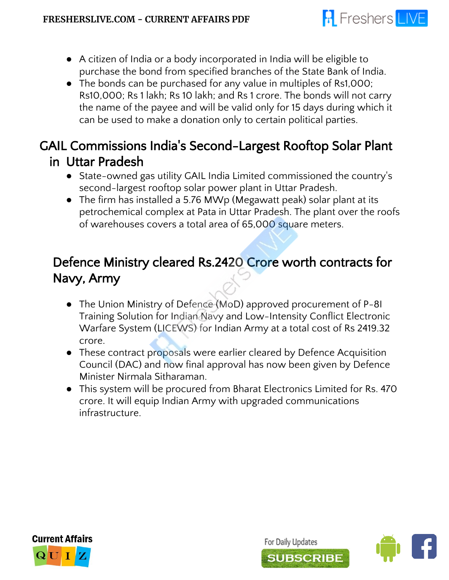

- A citizen of India or a body incorporated in India will be eligible to purchase the bond from specified branches of the State Bank of India.
- The bonds can be purchased for any value in multiples of Rs1,000; Rs10,000; Rs 1 lakh; Rs 10 lakh; and Rs 1 crore. The bonds will not carry the name of the payee and will be valid only for 15 days during which it can be used to make a donation only to certain political parties.

## GAIL Commissions India's Second-Largest Rooftop Solar Plant in Uttar Pradesh

- **●** State-owned gas utility GAIL India Limited commissioned the country's second-largest rooftop solar power plant in Uttar Pradesh.
- The firm has installed a 5.76 MWp (Megawatt peak) solar plant at its petrochemical complex at Pata in Uttar Pradesh. The plant over the roofs of warehouses covers a total area of 65,000 square meters.

## Defence Ministry cleared Rs.2420 Crore worth contracts for Navy, Army

- The Union Ministry of Defence (MoD) approved procurement of P-8I Training Solution for Indian Navy and Low-Intensity Conflict Electronic Warfare System (LICEWS) for Indian Army at a total cost of Rs 2419.32 crore.
- These contract proposals were earlier cleared by Defence Acquisition Council (DAC) and now final approval has now been given by Defence Minister Nirmala Sitharaman.
- This system will be procured from Bharat Electronics Limited for Rs. 470 crore. It will equip Indian Army with upgraded communications infrastructure.



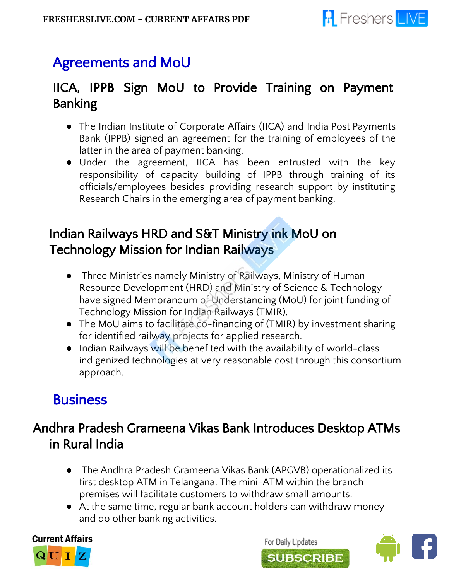

# Agreements and MoU

## IICA, IPPB Sign MoU to Provide Training on Payment Banking

- The Indian Institute of Corporate Affairs (IICA) and India Post Payments Bank (IPPB) signed an agreement for the training of employees of the latter in the area of payment banking.
- Under the agreement, IICA has been entrusted with the key responsibility of capacity building of IPPB through training of its officials/employees besides providing research support by instituting Research Chairs in the emerging area of payment banking.

## Indian Railways HRD and S&T Ministry ink MoU on Technology Mission for Indian Railways

- Three Ministries namely Ministry of Railways, Ministry of Human Resource Development (HRD) and Ministry of Science & Technology have signed Memorandum of Understanding (MoU) for joint funding of Technology Mission for Indian Railways (TMIR).
- The MoU aims to facilitate co-financing of (TMIR) by investment sharing for identified railway projects for applied research.
- Indian Railways will be benefited with the availability of world-class indigenized technologies at very reasonable cost through this consortium approach.

# **Business**

## Andhra Pradesh Grameena Vikas Bank Introduces Desktop ATMs in Rural India

- **●** The Andhra Pradesh Grameena Vikas Bank (APGVB) operationalized its first desktop ATM in Telangana. The mini-ATM within the branch premises will facilitate customers to withdraw small amounts.
- At the same time, regular bank account holders can withdraw money and do other banking activities.



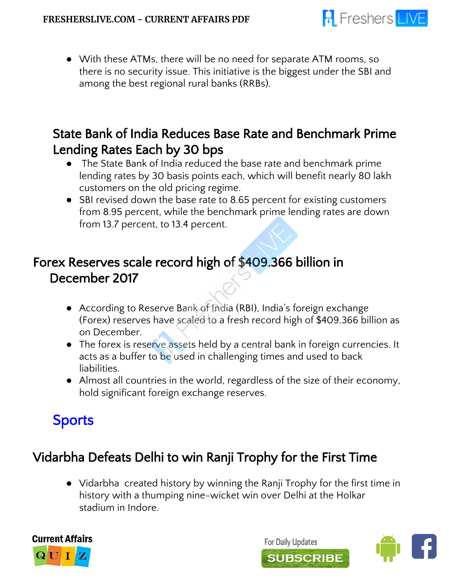

● With these ATMs, there will be no need for separate ATM rooms, so there is no security issue. This initiative is the biggest under the SBI and among the best regional rural banks (RRBs).

## State Bank of India Reduces Base Rate and Benchmark Prime Lending Rates Each by 30 bps

- The State Bank of India reduced the base rate and benchmark prime lending rates by 30 basis points each, which will benefit nearly 80 lakh customers on the old pricing regime.
- SBI revised down the base rate to 8.65 percent for existing customers from 8.95 percent, while the benchmark prime lending rates are down from 13.7 percent, to 13.4 percent.

## Forex Reserves scale record high of \$409.366 billion in December 2017

- According to Reserve Bank of India (RBI), India's foreign exchange (Forex) reserves have scaled to a fresh record high of \$409.366 billion as on December.
- The forex is reserve assets held by a central bank in foreign currencies. It acts as a buffer to be used in challenging times and used to back liabilities.
- Almost all countries in the world, regardless of the size of their economy, hold significant foreign exchange reserves.

# Sports

# Vidarbha Defeats Delhi to win Ranji Trophy for the First Time

● Vidarbha created history by winning the Ranji Trophy for the first time in history with a thumping nine-wicket win over Delhi at the Holkar stadium in Indore.



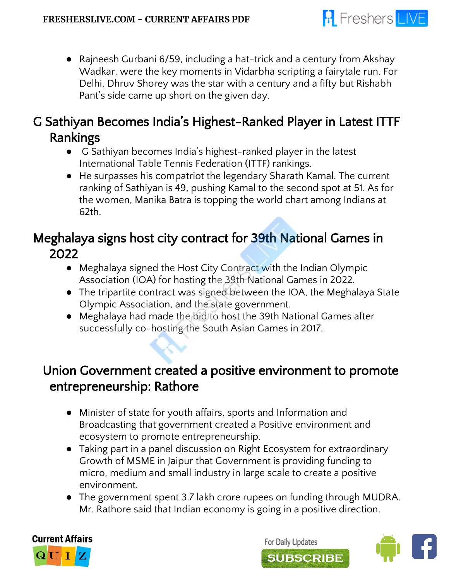

● Rajneesh Gurbani 6/59, including a hat-trick and a century from Akshay Wadkar, were the key moments in Vidarbha scripting a fairytale run. For Delhi, Dhruv Shorey was the star with a century and a fifty but Rishabh Pant's side came up short on the given day.

## G Sathiyan Becomes India's Highest-Ranked Player in Latest ITTF Rankings

- **●** G Sathiyan becomes India's highest-ranked player in the latest International Table Tennis Federation (ITTF) rankings.
- He surpasses his compatriot the legendary Sharath Kamal. The current ranking of Sathiyan is 49, pushing Kamal to the second spot at 51. As for the women, Manika Batra is topping the world chart among Indians at 62th.

# Meghalaya signs host city contract for 39th National Games in 2022

- Meghalaya signed the Host City Contract with the Indian Olympic Association (IOA) for hosting the 39th National Games in 2022.
- The tripartite contract was signed between the IOA, the Meghalaya State Olympic Association, and the state government.
- Meghalaya had made the bid to host the 39th National Games after successfully co-hosting the South Asian Games in 2017.

## Union Government created a positive environment to promote entrepreneurship: Rathore

- Minister of state for youth affairs, sports and Information and Broadcasting that government created a Positive environment and ecosystem to promote entrepreneurship.
- Taking part in a panel discussion on Right Ecosystem for extraordinary Growth of MSME in Jaipur that Government is providing funding to micro, medium and small industry in large scale to create a positive environment.
- The government spent 3.7 lakh crore rupees on funding through MUDRA. Mr. Rathore said that Indian economy is going in a positive direction.



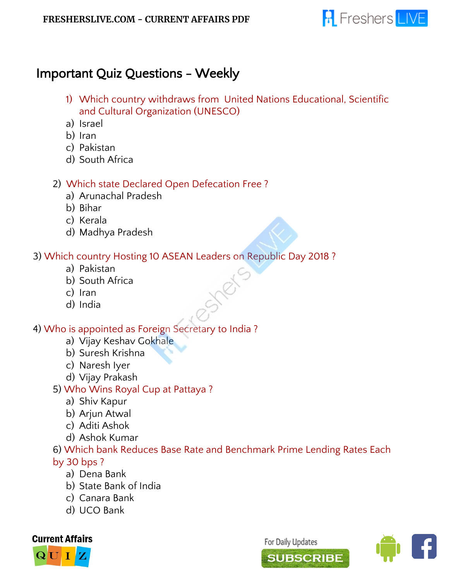

### Important Quiz Questions - Weekly

- 1) Which country withdraws from United Nations Educational, Scientific and Cultural Organization (UNESCO)
- a) Israel
- b) Iran
- c) Pakistan
- d) South Africa

#### 2) Which state Declared Open Defecation Free ?

- a) Arunachal Pradesh
- b) Bihar
- c) Kerala
- d) Madhya Pradesh

#### 3) Which country Hosting 10 ASEAN Leaders on Republic Day 2018 ?

- a) Pakistan
- b) South Africa
- c) Iran
- d) India

#### 4) Who is appointed as Foreign Secretary to India ?

- a) Vijay Keshav Gokhale
- b) Suresh Krishna
- c) Naresh Iyer
- d) Vijay Prakash
- 5) Who Wins Royal Cup at Pattaya ?
	- a) Shiv Kapur
	- b) Arjun Atwal
	- c) Aditi Ashok
	- d) Ashok Kumar

#### 6) Which bank Reduces Base Rate and Benchmark Prime Lending Rates Each by 30 bps ?

- a) Dena Bank
- b) State Bank of India
- c) Canara Bank
- d) UCO Bank



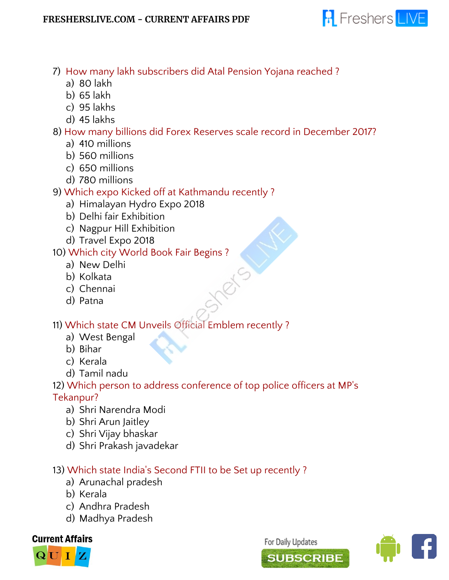

- 7) How many lakh subscribers did Atal Pension Yojana reached ?
	- a) 80 lakh
	- b) 65 lakh
	- c) 95 lakhs
	- d) 45 lakhs

### 8) How many billions did Forex Reserves scale record in December 2017?

- a) 410 millions
- b) 560 millions
- c) 650 millions
- d) 780 millions
- 9) Which expo Kicked off at Kathmandu recently ?
	- a) Himalayan Hydro Expo 2018
	- b) Delhi fair Exhibition
	- c) Nagpur Hill Exhibition
	- d) Travel Expo 2018

### 10) Which city World Book Fair Begins ?

- a) New Delhi
- b) Kolkata
- c) Chennai
- d) Patna

### 11) Which state CM Unveils Official Emblem recently ?

- a) West Bengal
- b) Bihar
- c) Kerala
- d) Tamil nadu

### 12) Which person to address conference of top police officers at MP's

### Tekanpur?

- a) Shri Narendra Modi
- b) Shri Arun Jaitley
- c) Shri Vijay bhaskar
- d) Shri Prakash javadekar

### 13) Which state India's Second FTII to be Set up recently ?

- a) Arunachal pradesh
- b) Kerala
- c) Andhra Pradesh
- d) Madhya Pradesh

### **Current Affairs**